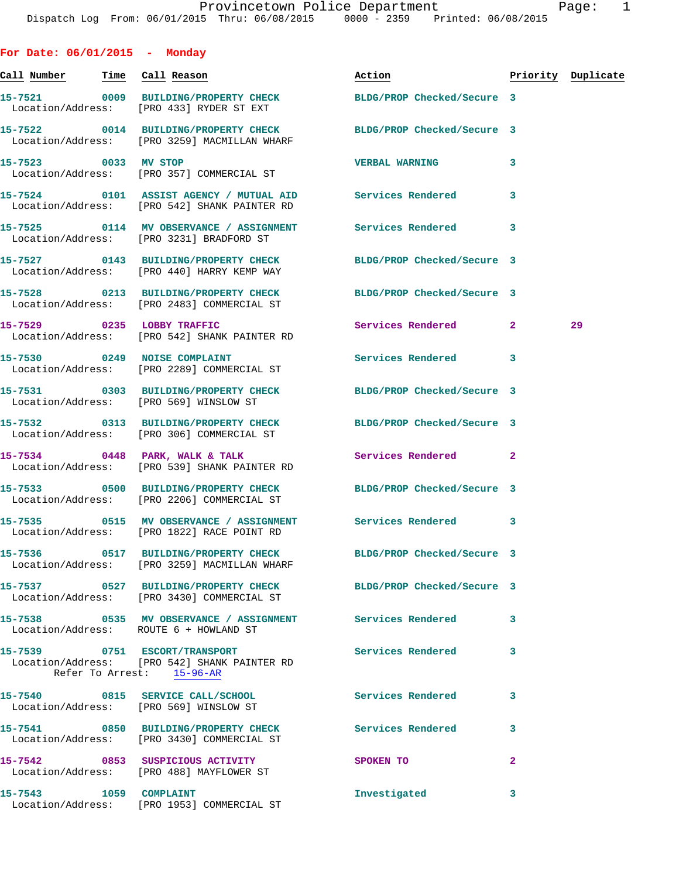| For Date: $06/01/2015$ - Monday       |                                                                                                            |                                                                 |   |                    |
|---------------------------------------|------------------------------------------------------------------------------------------------------------|-----------------------------------------------------------------|---|--------------------|
| <u>Call Number — Time Call Reason</u> |                                                                                                            | Action                                                          |   | Priority Duplicate |
|                                       | Location/Address: [PRO 433] RYDER ST EXT                                                                   | 15-7521 0009 BUILDING/PROPERTY CHECK BLDG/PROP Checked/Secure 3 |   |                    |
|                                       | Location/Address: [PRO 3259] MACMILLAN WHARF                                                               | 15-7522 0014 BUILDING/PROPERTY CHECK BLDG/PROP Checked/Secure 3 |   |                    |
| 15-7523 0033 MV STOP                  | Location/Address: [PRO 357] COMMERCIAL ST                                                                  | <b>VERBAL WARNING</b>                                           | 3 |                    |
|                                       | Location/Address: [PRO 542] SHANK PAINTER RD                                                               | 15-7524 0101 ASSIST AGENCY / MUTUAL AID Services Rendered       | 3 |                    |
|                                       | Location/Address: [PRO 3231] BRADFORD ST                                                                   | 15-7525 0114 MV OBSERVANCE / ASSIGNMENT Services Rendered 3     |   |                    |
|                                       | 15-7527 0143 BUILDING/PROPERTY CHECK<br>Location/Address: [PRO 440] HARRY KEMP WAY                         | BLDG/PROP Checked/Secure 3                                      |   |                    |
|                                       | 15-7528 0213 BUILDING/PROPERTY CHECK<br>Location/Address: [PRO 2483] COMMERCIAL ST                         | BLDG/PROP Checked/Secure 3                                      |   |                    |
|                                       | 15-7529 0235 LOBBY TRAFFIC<br>Location/Address: [PRO 542] SHANK PAINTER RD                                 | Services Rendered 2                                             |   | 29                 |
|                                       | 15-7530 0249 NOISE COMPLAINT<br>Location/Address: [PRO 2289] COMMERCIAL ST                                 | Services Rendered                                               | 3 |                    |
|                                       | Location/Address: [PRO 569] WINSLOW ST                                                                     | 15-7531 0303 BUILDING/PROPERTY CHECK BLDG/PROP Checked/Secure 3 |   |                    |
|                                       | Location/Address: [PRO 306] COMMERCIAL ST                                                                  | 15-7532 0313 BUILDING/PROPERTY CHECK BLDG/PROP Checked/Secure 3 |   |                    |
|                                       | 15-7534 0448 PARK, WALK & TALK<br>Location/Address: [PRO 539] SHANK PAINTER RD                             | Services Rendered 2                                             |   |                    |
|                                       | Location/Address: [PRO 2206] COMMERCIAL ST                                                                 | 15-7533 0500 BUILDING/PROPERTY CHECK BLDG/PROP Checked/Secure 3 |   |                    |
|                                       | Location/Address: [PRO 1822] RACE POINT RD                                                                 | 15-7535 0515 MV OBSERVANCE / ASSIGNMENT Services Rendered 3     |   |                    |
|                                       | 15-7536 0517 BUILDING/PROPERTY CHECK<br>Location/Address: [PRO 3259] MACMILLAN WHARF                       | BLDG/PROP Checked/Secure 3                                      |   |                    |
|                                       | 15-7537 0527 BUILDING/PROPERTY CHECK<br>Location/Address: [PRO 3430] COMMERCIAL ST                         | BLDG/PROP Checked/Secure 3                                      |   |                    |
|                                       | 15-7538 		 0535 MV OBSERVANCE / ASSIGNMENT Services Rendered<br>Location/Address: ROUTE 6 + HOWLAND ST     |                                                                 | 3 |                    |
|                                       | 15-7539 0751 ESCORT/TRANSPORT<br>Location/Address: [PRO 542] SHANK PAINTER RD<br>Refer To Arrest: 15-96-AR | <b>Services Rendered</b>                                        | 3 |                    |
|                                       | 15-7540 0815 SERVICE CALL/SCHOOL<br>Location/Address: [PRO 569] WINSLOW ST                                 | <b>Services Rendered</b>                                        | 3 |                    |
|                                       | Location/Address: [PRO 3430] COMMERCIAL ST                                                                 | 15-7541 0850 BUILDING/PROPERTY CHECK Services Rendered          | 3 |                    |
|                                       | 15-7542 0853 SUSPICIOUS ACTIVITY<br>Location/Address: [PRO 488] MAYFLOWER ST                               | SPOKEN TO                                                       | 2 |                    |
| 15-7543 1059 COMPLAINT                | Location/Address: [PRO 1953] COMMERCIAL ST                                                                 | Investigated                                                    | 3 |                    |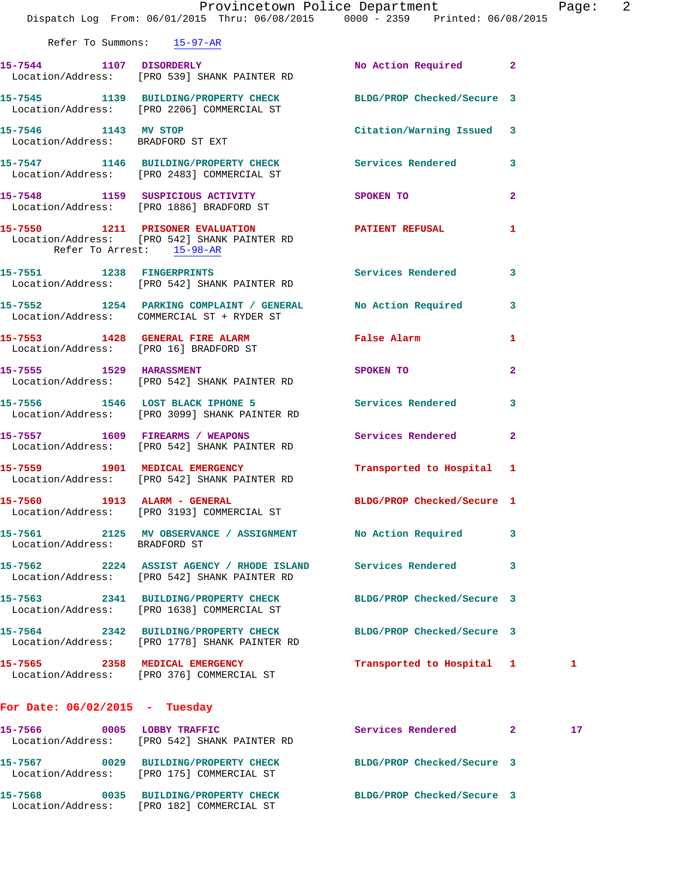|                                  | Provincetown Police Department Page: 2<br>Dispatch Log From: 06/01/2015 Thru: 06/08/2015 0000 - 2359 Printed: 06/08/2015 |                            |              |    |  |
|----------------------------------|--------------------------------------------------------------------------------------------------------------------------|----------------------------|--------------|----|--|
| Refer To Summons: 15-97-AR       |                                                                                                                          |                            |              |    |  |
|                                  | 15-7544 1107 DISORDERLY<br>Location/Address: [PRO 539] SHANK PAINTER RD                                                  | No Action Required 2       |              |    |  |
|                                  | 15-7545 1139 BUILDING/PROPERTY CHECK BLDG/PROP Checked/Secure 3<br>Location/Address: [PRO 2206] COMMERCIAL ST            |                            |              |    |  |
|                                  | 15-7546 1143 MV STOP<br>Location/Address: BRADFORD ST EXT                                                                | Citation/Warning Issued 3  |              |    |  |
|                                  | 15-7547 1146 BUILDING/PROPERTY CHECK Services Rendered 3<br>Location/Address: [PRO 2483] COMMERCIAL ST                   |                            |              |    |  |
|                                  | 15-7548 1159 SUSPICIOUS ACTIVITY SPOKEN TO 2<br>Location/Address: [PRO 1886] BRADFORD ST                                 |                            |              |    |  |
| Refer To Arrest: 15-98-AR        | 15-7550 1211 PRISONER EVALUATION PATIENT REFUSAL 1<br>Location/Address: [PRO 542] SHANK PAINTER RD                       |                            |              |    |  |
|                                  | 15-7551 1238 FINGERPRINTS<br>Location/Address: [PRO 542] SHANK PAINTER RD                                                | Services Rendered 3        |              |    |  |
|                                  | 15-7552 1254 PARKING COMPLAINT / GENERAL No Action Required 3<br>Location/Address: COMMERCIAL ST + RYDER ST              |                            |              |    |  |
|                                  | 15-7553 1428 GENERAL FIRE ALARM 6 False Alarm<br>Location/Address: [PRO 16] BRADFORD ST                                  |                            | 1            |    |  |
|                                  | 15-7555 1529 HARASSMENT<br>Location/Address: [PRO 542] SHANK PAINTER RD                                                  | <b>SPOKEN TO</b>           | $\mathbf{2}$ |    |  |
|                                  | 15-7556 1546 LOST BLACK IPHONE 5 Services Rendered 3<br>Location/Address: [PRO 3099] SHANK PAINTER RD                    |                            |              |    |  |
|                                  | 15-7557 1609 FIREARMS / WEAPONS Services Rendered 2<br>Location/Address: [PRO 542] SHANK PAINTER RD                      |                            |              |    |  |
|                                  | 15-7559 1901 MEDICAL EMERGENCY<br>Location/Address: [PRO 542] SHANK PAINTER RD                                           | Transported to Hospital 1  |              |    |  |
|                                  | 15-7560 1913 ALARM - GENERAL<br>Location/Address: [PRO 3193] COMMERCIAL ST                                               | BLDG/PROP Checked/Secure 1 |              |    |  |
| Location/Address: BRADFORD ST    | 15-7561 2125 MV OBSERVANCE / ASSIGNMENT No Action Required 3                                                             |                            |              |    |  |
|                                  | 15-7562 2224 ASSIST AGENCY / RHODE ISLAND Services Rendered<br>Location/Address: [PRO 542] SHANK PAINTER RD              |                            | 3            |    |  |
|                                  | 15-7563 2341 BUILDING/PROPERTY CHECK BLDG/PROP Checked/Secure 3<br>Location/Address: [PRO 1638] COMMERCIAL ST            |                            |              |    |  |
|                                  | 15-7564 2342 BUILDING/PROPERTY CHECK<br>Location/Address: [PRO 1778] SHANK PAINTER RD                                    | BLDG/PROP Checked/Secure 3 |              |    |  |
|                                  | 15-7565 2358 MEDICAL EMERGENCY<br>Location/Address: [PRO 376] COMMERCIAL ST                                              | Transported to Hospital 1  |              | 1  |  |
| For Date: $06/02/2015$ - Tuesday |                                                                                                                          |                            |              |    |  |
|                                  | 15-7566 0005 LOBBY TRAFFIC<br>Location/Address: [PRO 542] SHANK PAINTER RD                                               | Services Rendered 2        |              | 17 |  |
|                                  | 15-7567 0029 BUILDING/PROPERTY CHECK<br>Location/Address: [PRO 175] COMMERCIAL ST                                        | BLDG/PROP Checked/Secure 3 |              |    |  |
|                                  | 15-7568 0035 BUILDING/PROPERTY CHECK BLDG/PROP Checked/Secure 3                                                          |                            |              |    |  |

Location/Address: [PRO 182] COMMERCIAL ST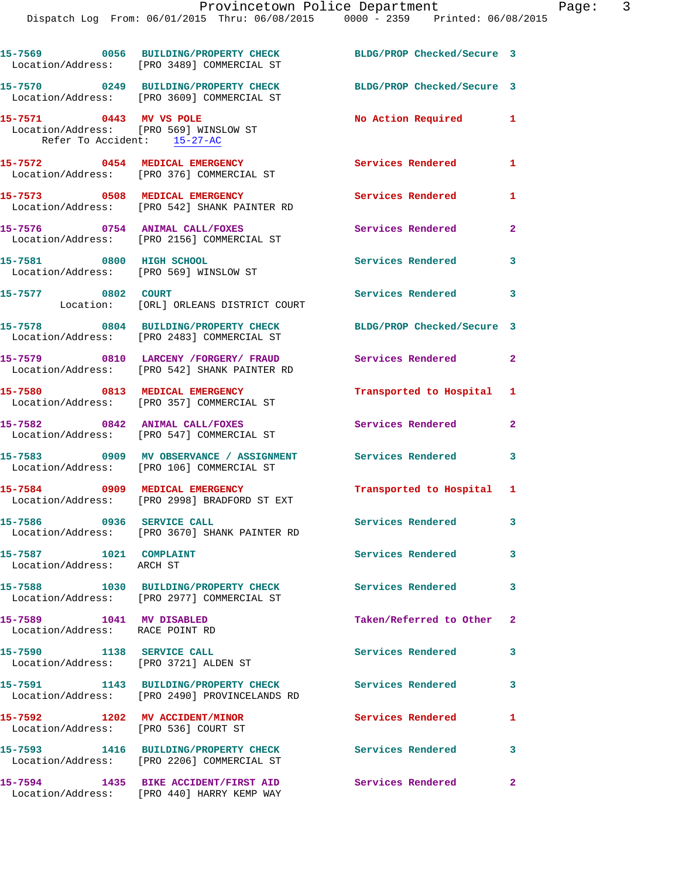|                                                                        | 15-7569 0056 BUILDING/PROPERTY CHECK<br>Location/Address: [PRO 3489] COMMERCIAL ST    | BLDG/PROP Checked/Secure 3 |                |
|------------------------------------------------------------------------|---------------------------------------------------------------------------------------|----------------------------|----------------|
|                                                                        | 15-7570 0249 BUILDING/PROPERTY CHECK<br>Location/Address: [PRO 3609] COMMERCIAL ST    | BLDG/PROP Checked/Secure 3 |                |
| 15-7571 0443 MV VS POLE<br>Refer To Accident: 15-27-AC                 | Location/Address: [PRO 569] WINSLOW ST                                                | No Action Required         | 1              |
|                                                                        | 15-7572 0454 MEDICAL EMERGENCY<br>Location/Address: [PRO 376] COMMERCIAL ST           | <b>Services Rendered</b>   | 1              |
|                                                                        | 15-7573 0508 MEDICAL EMERGENCY<br>Location/Address: [PRO 542] SHANK PAINTER RD        | Services Rendered          | 1              |
|                                                                        | 15-7576 0754 ANIMAL CALL/FOXES<br>Location/Address: [PRO 2156] COMMERCIAL ST          | Services Rendered          | $\mathbf{2}$   |
| 15-7581 0800 HIGH SCHOOL                                               | Location/Address: [PRO 569] WINSLOW ST                                                | Services Rendered          | 3              |
| 15-7577 0802 COURT                                                     | Location: [ORL] ORLEANS DISTRICT COURT                                                | <b>Services Rendered</b>   | 3              |
|                                                                        | 15-7578 0804 BUILDING/PROPERTY CHECK<br>Location/Address: [PRO 2483] COMMERCIAL ST    | BLDG/PROP Checked/Secure 3 |                |
|                                                                        | 15-7579 0810 LARCENY /FORGERY/ FRAUD<br>Location/Address: [PRO 542] SHANK PAINTER RD  | Services Rendered          | $\overline{a}$ |
|                                                                        | 15-7580 0813 MEDICAL EMERGENCY<br>Location/Address: [PRO 357] COMMERCIAL ST           | Transported to Hospital    | 1              |
|                                                                        | 15-7582 0842 ANIMAL CALL/FOXES<br>Location/Address: [PRO 547] COMMERCIAL ST           | Services Rendered          | $\overline{a}$ |
|                                                                        | 15-7583 0909 MV OBSERVANCE / ASSIGNMENT<br>Location/Address: [PRO 106] COMMERCIAL ST  | Services Rendered          | 3              |
|                                                                        | 15-7584 0909 MEDICAL EMERGENCY<br>Location/Address: [PRO 2998] BRADFORD ST EXT        | Transported to Hospital 1  |                |
| 15-7586 0936 SERVICE CALL                                              | Location/Address: [PRO 3670] SHANK PAINTER RD                                         | Services Rendered          | 3              |
| 15-7587 1021 COMPLAINT<br>Location/Address: ARCH ST                    |                                                                                       | Services Rendered          | 3              |
|                                                                        | 15-7588 1030 BUILDING/PROPERTY CHECK<br>Location/Address: [PRO 2977] COMMERCIAL ST    | <b>Services Rendered</b>   | 3              |
| 15-7589 1041 MV DISABLED<br>Location/Address: RACE POINT RD            |                                                                                       | Taken/Referred to Other    | $\mathbf{2}$   |
| 15-7590 1138 SERVICE CALL<br>Location/Address: [PRO 3721] ALDEN ST     |                                                                                       | <b>Services Rendered</b>   | 3              |
|                                                                        | 15-7591 1143 BUILDING/PROPERTY CHECK<br>Location/Address: [PRO 2490] PROVINCELANDS RD | Services Rendered          | 3              |
| 15-7592 1202 MV ACCIDENT/MINOR<br>Location/Address: [PRO 536] COURT ST |                                                                                       | <b>Services Rendered</b>   | 1              |
|                                                                        | 15-7593 1416 BUILDING/PROPERTY CHECK<br>Location/Address: [PRO 2206] COMMERCIAL ST    | <b>Services Rendered</b>   | 3              |
|                                                                        | 15-7594 1435 BIKE ACCIDENT/FIRST AID<br>Location/Address: [PRO 440] HARRY KEMP WAY    | Services Rendered          | $\overline{2}$ |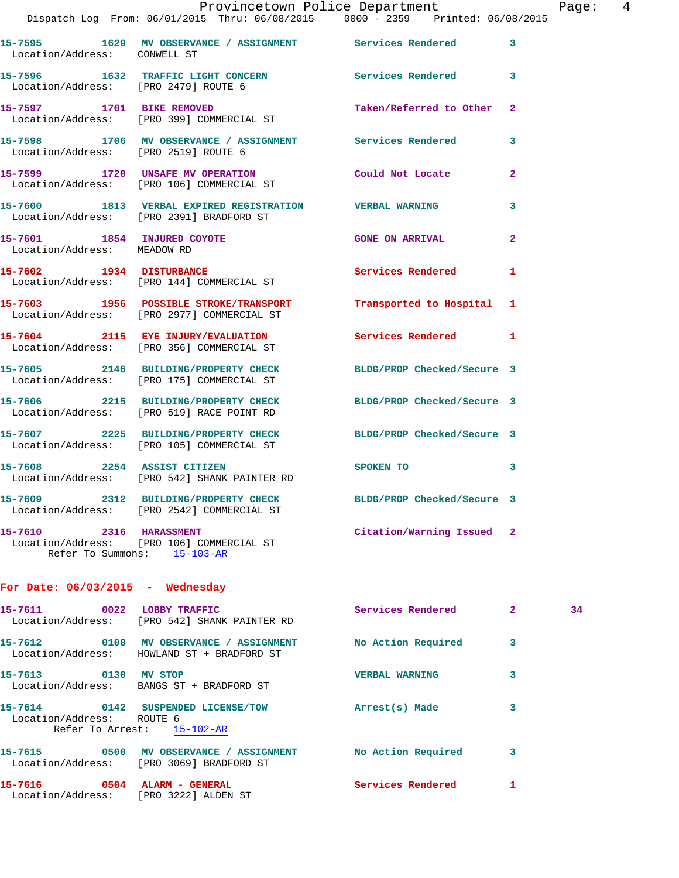|                                                            | Provincetown Police Department<br>Dispatch Log From: 06/01/2015 Thru: 06/08/2015 0000 - 2359 Printed: 06/08/2015 |                            |                |
|------------------------------------------------------------|------------------------------------------------------------------------------------------------------------------|----------------------------|----------------|
|                                                            |                                                                                                                  |                            |                |
| Location/Address: CONWELL ST                               | 15-7595 1629 MV OBSERVANCE / ASSIGNMENT Services Rendered                                                        |                            | 3              |
| Location/Address: [PRO 2479] ROUTE 6                       | 15-7596 1632 TRAFFIC LIGHT CONCERN Services Rendered                                                             |                            | 3              |
| 15-7597 1701 BIKE REMOVED                                  | Location/Address: [PRO 399] COMMERCIAL ST                                                                        | Taken/Referred to Other    | $\overline{2}$ |
| Location/Address: [PRO 2519] ROUTE 6                       | 15-7598 1706 MV OBSERVANCE / ASSIGNMENT Services Rendered                                                        |                            | 3              |
|                                                            | 15-7599 1720 UNSAFE MV OPERATION<br>Location/Address: [PRO 106] COMMERCIAL ST                                    | Could Not Locate           | $\mathbf{2}$   |
|                                                            | 15-7600 1813 VERBAL EXPIRED REGISTRATION VERBAL WARNING<br>Location/Address: [PRO 2391] BRADFORD ST              |                            | 3              |
| 15-7601 1854 INJURED COYOTE<br>Location/Address: MEADOW RD |                                                                                                                  | <b>GONE ON ARRIVAL</b>     | $\overline{a}$ |
|                                                            | 15-7602 1934 DISTURBANCE<br>Location/Address: [PRO 144] COMMERCIAL ST                                            | <b>Services Rendered</b>   | 1              |
|                                                            | 15-7603 1956 POSSIBLE STROKE/TRANSPORT<br>Location/Address: [PRO 2977] COMMERCIAL ST                             | Transported to Hospital    | 1              |
|                                                            | 15-7604 2115 EYE INJURY/EVALUATION<br>Location/Address: [PRO 356] COMMERCIAL ST                                  | Services Rendered          | 1              |
|                                                            | 15-7605 2146 BUILDING/PROPERTY CHECK<br>Location/Address: [PRO 175] COMMERCIAL ST                                | BLDG/PROP Checked/Secure 3 |                |
|                                                            | 15-7606 2215 BUILDING/PROPERTY CHECK<br>Location/Address: [PRO 519] RACE POINT RD                                | BLDG/PROP Checked/Secure 3 |                |
|                                                            | 15-7607 2225 BUILDING/PROPERTY CHECK BLDG/PROP Checked/Secure 3<br>Location/Address: [PRO 105] COMMERCIAL ST     |                            |                |
| 15-7608 2254 ASSIST CITIZEN                                | Location/Address: [PRO 542] SHANK PAINTER RD                                                                     | SPOKEN TO                  | 3              |
|                                                            | 15-7609 2312 BUILDING/PROPERTY CHECK BLDG/PROP Checked/Secure 3<br>Location/Address: [PRO 2542] COMMERCIAL ST    |                            |                |
| 15-7610 2316 HARASSMENT                                    |                                                                                                                  | Citation/Warning Issued    | $\mathbf{2}$   |

Page: 4

## **For Date: 06/03/2015 - Wednesday**

Refer To Summons: 15-103-AR

Location/Address: [PRO 106] COMMERCIAL ST

| 0022<br>15-7611           | <b>LOBBY TRAFFIC</b><br>Location/Address: [PRO 542] SHANK PAINTER RD     | Services Rendered     | $\overline{2}$ | 34 |
|---------------------------|--------------------------------------------------------------------------|-----------------------|----------------|----|
| 15-7612 0108              | MV OBSERVANCE / ASSIGNMENT<br>Location/Address: HOWLAND ST + BRADFORD ST | No Action Required    | 3              |    |
| $\sim$ 0130<br>15-7613    | MV STOP<br>Location/Address: BANGS ST + BRADFORD ST                      | <b>VERBAL WARNING</b> | 3              |    |
| Location/Address: ROUTE 6 | Refer To Arrest: 15-102-AR                                               | Arrest(s) Made        | 3              |    |
| 15-7615<br>0500           | MV OBSERVANCE / ASSIGNMENT<br>Location/Address: [PRO 3069] BRADFORD ST   | No Action Required    | 3              |    |
| 15-7616<br>$\sim$ 0504    | ALARM - GENERAL<br>Location/Address: [PRO 3222] ALDEN ST                 | Services Rendered     |                |    |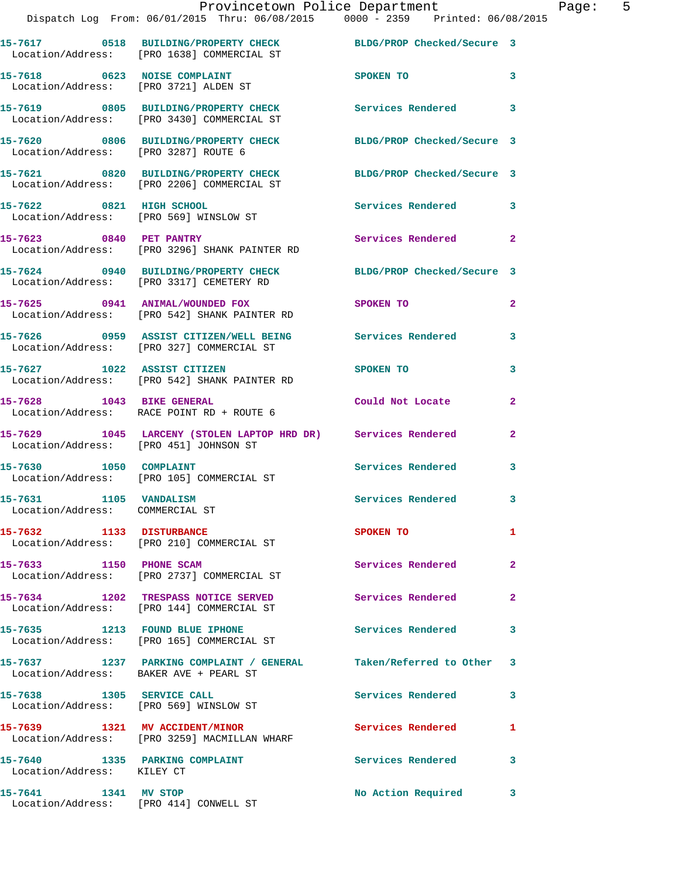|                                                              | Provincetown Police Department<br>Dispatch Log From: 06/01/2015 Thru: 06/08/2015 0000 - 2359 Printed: 06/08/2015 |                            |                |
|--------------------------------------------------------------|------------------------------------------------------------------------------------------------------------------|----------------------------|----------------|
|                                                              | 15-7617 0518 BUILDING/PROPERTY CHECK BLDG/PROP Checked/Secure 3<br>Location/Address: [PRO 1638] COMMERCIAL ST    |                            |                |
|                                                              | 15-7618 0623 NOISE COMPLAINT<br>Location/Address: [PRO 3721] ALDEN ST                                            | SPOKEN TO                  | 3              |
|                                                              | 15-7619 0805 BUILDING/PROPERTY CHECK Services Rendered<br>Location/Address: [PRO 3430] COMMERCIAL ST             |                            | 3              |
| Location/Address: [PRO 3287] ROUTE 6                         | 15-7620 0806 BUILDING/PROPERTY CHECK BLDG/PROP Checked/Secure 3                                                  |                            |                |
|                                                              | 15-7621 0820 BUILDING/PROPERTY CHECK<br>Location/Address: [PRO 2206] COMMERCIAL ST                               | BLDG/PROP Checked/Secure 3 |                |
| 15-7622 0821 HIGH SCHOOL                                     | Location/Address: [PRO 569] WINSLOW ST                                                                           | Services Rendered          | 3              |
|                                                              | 15-7623 0840 PET PANTRY<br>Location/Address: [PRO 3296] SHANK PAINTER RD                                         | <b>Services Rendered</b>   | $\mathbf{2}$   |
|                                                              | 15-7624 0940 BUILDING/PROPERTY CHECK BLDG/PROP Checked/Secure 3<br>Location/Address: [PRO 3317] CEMETERY RD      |                            |                |
|                                                              | 15-7625 0941 ANIMAL/WOUNDED FOX<br>Location/Address: [PRO 542] SHANK PAINTER RD                                  | SPOKEN TO                  | $\mathbf{2}$   |
|                                                              | 15-7626 0959 ASSIST CITIZEN/WELL BEING Services Rendered<br>Location/Address: [PRO 327] COMMERCIAL ST            |                            | 3              |
|                                                              | 15-7627 1022 ASSIST CITIZEN<br>Location/Address: [PRO 542] SHANK PAINTER RD                                      | SPOKEN TO                  | 3              |
|                                                              | 15-7628 1043 BIKE GENERAL<br>Location/Address: RACE POINT RD + ROUTE 6                                           | Could Not Locate           | $\mathbf{2}$   |
| Location/Address: [PRO 451] JOHNSON ST                       | 15-7629 1045 LARCENY (STOLEN LAPTOP HRD DR) Services Rendered                                                    |                            | $\overline{a}$ |
|                                                              | 15-7630 1050 COMPLAINT<br>Location/Address: [PRO 105] COMMERCIAL ST                                              | Services Rendered          | 3              |
| 15-7631 1105 VANDALISM<br>Location/Address: COMMERCIAL ST    |                                                                                                                  | Services Rendered          | 3              |
| 15-7632 1133 DISTURBANCE                                     | Location/Address: [PRO 210] COMMERCIAL ST                                                                        | SPOKEN TO                  | 1              |
| 15-7633 1150 PHONE SCAM                                      | Location/Address: [PRO 2737] COMMERCIAL ST                                                                       | Services Rendered          | $\mathbf{2}$   |
|                                                              | 15-7634 1202 TRESPASS NOTICE SERVED<br>Location/Address: [PRO 144] COMMERCIAL ST                                 | Services Rendered          | 2              |
|                                                              | 15-7635 1213 FOUND BLUE IPHONE<br>Location/Address: [PRO 165] COMMERCIAL ST                                      | <b>Services Rendered</b>   | 3              |
| Location/Address: BAKER AVE + PEARL ST                       | 15-7637 1237 PARKING COMPLAINT / GENERAL                                                                         | Taken/Referred to Other    | 3              |
| 15-7638 1305 SERVICE CALL                                    | Location/Address: [PRO 569] WINSLOW ST                                                                           | Services Rendered          | 3              |
|                                                              | 15-7639 1321 MV ACCIDENT/MINOR<br>Location/Address: [PRO 3259] MACMILLAN WHARF                                   | Services Rendered          | 1              |
| 15-7640 1335 PARKING COMPLAINT<br>Location/Address: KILEY CT |                                                                                                                  | Services Rendered          | 3              |
| 15-7641 1341 MV STOP                                         |                                                                                                                  | No Action Required         | 3              |

Location/Address: [PRO 414] CONWELL ST

Page: 5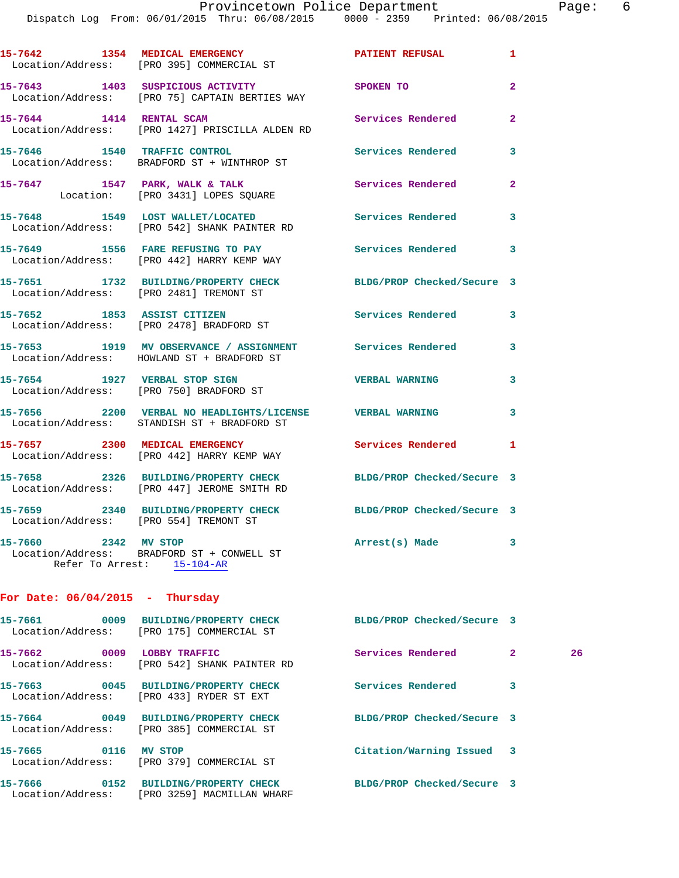Dispatch Log From: 06/01/2015 Thru: 06/08/2015 0000 - 2359 Printed: 06/08/2015

15-7642 1354 MEDICAL EMERGENCY **PATIENT REFUSAL** 1 Location/Address: [PRO 395] COMMERCIAL ST **15-7643 1403 SUSPICIOUS ACTIVITY SPOKEN TO 2**  Location/Address: [PRO 75] CAPTAIN BERTIES WAY **15-7644 1414 RENTAL SCAM Services Rendered 2**  Location/Address: [PRO 1427] PRISCILLA ALDEN RD **15-7646 1540 TRAFFIC CONTROL Services Rendered 3**  Location/Address: BRADFORD ST + WINTHROP ST **15-7647 1547 PARK, WALK & TALK Services Rendered 2**  Location: [PRO 3431] LOPES SQUARE **15-7648 1549 LOST WALLET/LOCATED Services Rendered 3**  Location/Address: [PRO 542] SHANK PAINTER RD **15-7649 1556 FARE REFUSING TO PAY Services Rendered 3**  Location/Address: [PRO 442] HARRY KEMP WAY **15-7651 1732 BUILDING/PROPERTY CHECK BLDG/PROP Checked/Secure 3**  Location/Address: [PRO 2481] TREMONT ST **15-7652 1853 ASSIST CITIZEN Services Rendered 3**  Location/Address: [PRO 2478] BRADFORD ST **15-7653 1919 MV OBSERVANCE / ASSIGNMENT Services Rendered 3**  Location/Address: HOWLAND ST + BRADFORD ST **15-7654 1927 VERBAL STOP SIGN VERBAL WARNING 3**  Location/Address: [PRO 750] BRADFORD ST **15-7656 2200 VERBAL NO HEADLIGHTS/LICENSE VERBAL WARNING 3**  Location/Address: STANDISH ST + BRADFORD ST

**15-7657 2300 MEDICAL EMERGENCY Services Rendered 1**  Location/Address: [PRO 442] HARRY KEMP WAY **15-7658 2326 BUILDING/PROPERTY CHECK BLDG/PROP Checked/Secure 3**  Location/Address: [PRO 447] JEROME SMITH RD **15-7659 2340 BUILDING/PROPERTY CHECK BLDG/PROP Checked/Secure 3**  Location/Address: [PRO 554] TREMONT ST

**15-7660 2342 MV STOP Arrest(s) Made 3**  Location/Address: BRADFORD ST + CONWELL ST Refer To Arrest: 15-104-AR

## **For Date: 06/04/2015 - Thursday**

| 15-7661                      | 0009 | BUILDING/PROPERTY CHECK<br>Location/Address: [PRO 175] COMMERCIAL ST        | BLDG/PROP Checked/Secure 3 |                |    |
|------------------------------|------|-----------------------------------------------------------------------------|----------------------------|----------------|----|
| 15-7662                      | 0009 | LOBBY TRAFFIC<br>Location/Address: [PRO 542] SHANK PAINTER RD               | Services Rendered          | $\overline{2}$ | 26 |
| 15-7663                      | 0045 | <b>BUILDING/PROPERTY CHECK</b><br>Location/Address: [PRO 433] RYDER ST EXT  | Services Rendered          | 3              |    |
| 15-7664                      | 0049 | <b>BUILDING/PROPERTY CHECK</b><br>Location/Address: [PRO 385] COMMERCIAL ST | BLDG/PROP Checked/Secure 3 |                |    |
| 15-7665                      | 0116 | MV STOP<br>Location/Address: [PRO 379] COMMERCIAL ST                        | Citation/Warning Issued 3  |                |    |
| 15-7666<br>Location/Address: | 0152 | <b>BUILDING/PROPERTY CHECK</b><br>[PRO 3259] MACMILLAN WHARF                | BLDG/PROP Checked/Secure 3 |                |    |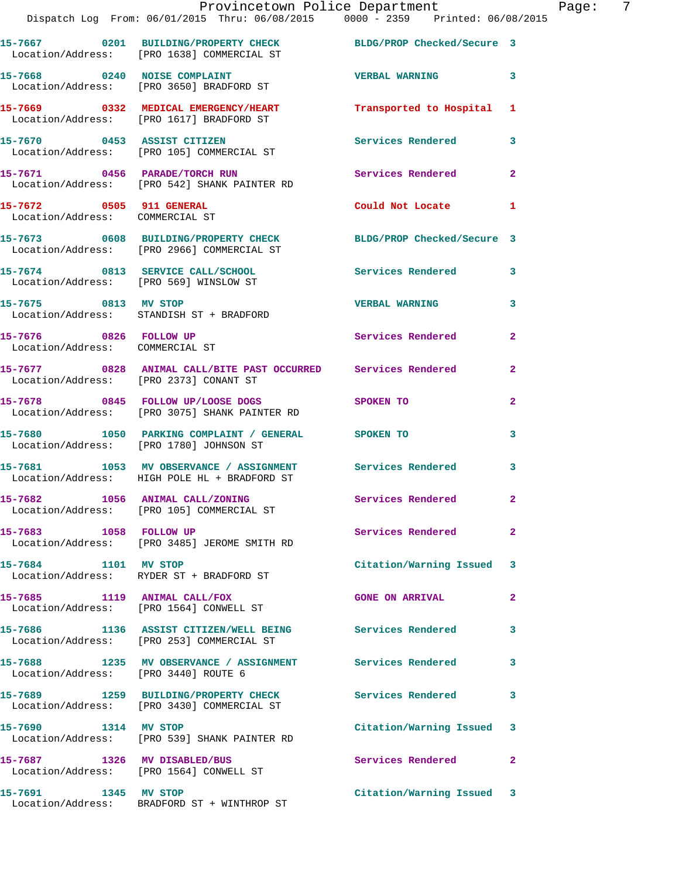|                                                             | Provincetown Police Department<br>Dispatch Log From: 06/01/2015 Thru: 06/08/2015 0000 - 2359 Printed: 06/08/2015 |                            |                |
|-------------------------------------------------------------|------------------------------------------------------------------------------------------------------------------|----------------------------|----------------|
|                                                             | 15-7667 0201 BUILDING/PROPERTY CHECK BLDG/PROP Checked/Secure 3<br>Location/Address: [PRO 1638] COMMERCIAL ST    |                            |                |
|                                                             | 15-7668 0240 NOISE COMPLAINT<br>Location/Address: [PRO 3650] BRADFORD ST                                         | <b>VERBAL WARNING</b>      | 3              |
|                                                             | 15-7669 0332 MEDICAL EMERGENCY/HEART Transported to Hospital<br>Location/Address: [PRO 1617] BRADFORD ST         |                            | 1              |
|                                                             | 15-7670 0453 ASSIST CITIZEN<br>Location/Address: [PRO 105] COMMERCIAL ST                                         | Services Rendered          | 3              |
|                                                             | 15-7671 0456 PARADE/TORCH RUN<br>Location/Address: [PRO 542] SHANK PAINTER RD                                    | Services Rendered          | $\overline{2}$ |
| 15-7672 0505 911 GENERAL<br>Location/Address: COMMERCIAL ST |                                                                                                                  | Could Not Locate           | 1              |
|                                                             | 15-7673 0608 BUILDING/PROPERTY CHECK<br>Location/Address: [PRO 2966] COMMERCIAL ST                               | BLDG/PROP Checked/Secure 3 |                |
|                                                             | 15-7674 0813 SERVICE CALL/SCHOOL 5ervices Rendered<br>Location/Address: [PRO 569] WINSLOW ST                     |                            | 3              |
| 15-7675 0813 MV STOP                                        | Location/Address: STANDISH ST + BRADFORD                                                                         | <b>VERBAL WARNING</b>      | 3              |
| 15-7676 0826 FOLLOW UP<br>Location/Address: COMMERCIAL ST   |                                                                                                                  | Services Rendered          | $\overline{a}$ |
| Location/Address: [PRO 2373] CONANT ST                      | 15-7677 0828 ANIMAL CALL/BITE PAST OCCURRED Services Rendered                                                    |                            | $\overline{a}$ |
|                                                             | 15-7678 0845 FOLLOW UP/LOOSE DOGS<br>Location/Address: [PRO 3075] SHANK PAINTER RD                               | SPOKEN TO                  | $\overline{2}$ |
|                                                             | 15-7680 1050 PARKING COMPLAINT / GENERAL SPOKEN TO<br>Location/Address: [PRO 1780] JOHNSON ST                    |                            | 3              |
|                                                             | 15-7681 1053 MV OBSERVANCE / ASSIGNMENT Services Rendered<br>Location/Address: HIGH POLE HL + BRADFORD ST        |                            | 3              |
|                                                             | 15-7682 1056 ANIMAL CALL/ZONING<br>Location/Address: [PRO 105] COMMERCIAL ST                                     | Services Rendered          | $\mathbf{2}$   |
| 15-7683 1058 FOLLOW UP                                      | Location/Address: [PRO 3485] JEROME SMITH RD                                                                     | Services Rendered          | $\overline{2}$ |
| 15-7684 1101 MV STOP                                        | Location/Address: RYDER ST + BRADFORD ST                                                                         | Citation/Warning Issued    | 3              |
|                                                             | 15-7685 1119 ANIMAL CALL/FOX<br>Location/Address: [PRO 1564] CONWELL ST                                          | <b>GONE ON ARRIVAL</b>     | 2              |
|                                                             | 15-7686 1136 ASSIST CITIZEN/WELL BEING Services Rendered<br>Location/Address: [PRO 253] COMMERCIAL ST            |                            | 3              |
| Location/Address: [PRO 3440] ROUTE 6                        | 15-7688 1235 MV OBSERVANCE / ASSIGNMENT Services Rendered                                                        |                            | 3              |
|                                                             | 15-7689 1259 BUILDING/PROPERTY CHECK Services Rendered<br>Location/Address: [PRO 3430] COMMERCIAL ST             |                            | 3              |
| 15-7690 1314 MV STOP                                        | Location/Address: [PRO 539] SHANK PAINTER RD                                                                     | Citation/Warning Issued    | 3              |
| 15-7687 1326 MV DISABLED/BUS                                | Location/Address: [PRO 1564] CONWELL ST                                                                          | Services Rendered          | $\overline{2}$ |
| 15-7691 1345 MV STOP                                        | Location/Address: BRADFORD ST + WINTHROP ST                                                                      | Citation/Warning Issued 3  |                |

Page: 7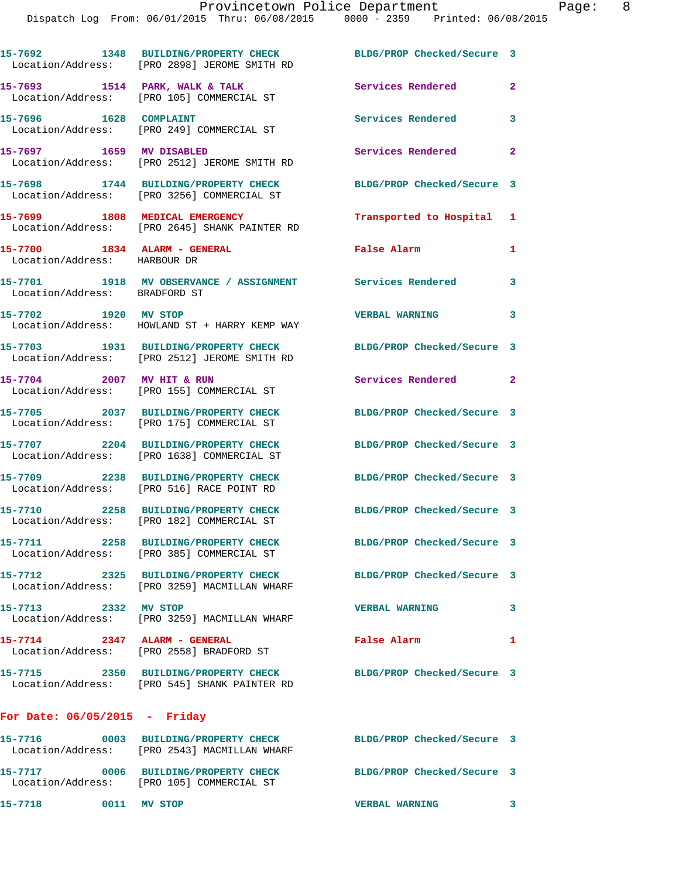|                                 | 15-7692 1348 BUILDING/PROPERTY CHECK<br>Location/Address: [PRO 2898] JEROME SMITH RD | BLDG/PROP Checked/Secure 3 |                |
|---------------------------------|--------------------------------------------------------------------------------------|----------------------------|----------------|
|                                 | 15-7693 1514 PARK, WALK & TALK<br>Location/Address: [PRO 105] COMMERCIAL ST          | Services Rendered          | $\overline{2}$ |
| 15-7696 1628 COMPLAINT          | Location/Address: [PRO 249] COMMERCIAL ST                                            | <b>Services Rendered</b>   | 3              |
| 15-7697 1659 MV DISABLED        | Location/Address: [PRO 2512] JEROME SMITH RD                                         | Services Rendered          | $\overline{2}$ |
|                                 | 15-7698 1744 BUILDING/PROPERTY CHECK<br>Location/Address: [PRO 3256] COMMERCIAL ST   | BLDG/PROP Checked/Secure 3 |                |
|                                 | 15-7699 1808 MEDICAL EMERGENCY<br>Location/Address: [PRO 2645] SHANK PAINTER RD      | Transported to Hospital 1  |                |
| Location/Address: HARBOUR DR    | 15-7700 1834 ALARM - GENERAL                                                         | <b>False Alarm</b>         | 1              |
| Location/Address: BRADFORD ST   | 15-7701 1918 MV OBSERVANCE / ASSIGNMENT Services Rendered                            |                            | 3              |
| 15-7702 1920 MV STOP            | Location/Address: HOWLAND ST + HARRY KEMP WAY                                        | <b>VERBAL WARNING</b>      | 3              |
|                                 | 15-7703 1931 BUILDING/PROPERTY CHECK<br>Location/Address: [PRO 2512] JEROME SMITH RD | BLDG/PROP Checked/Secure 3 |                |
|                                 | 15-7704 2007 MV HIT & RUN<br>Location/Address: [PRO 155] COMMERCIAL ST               | Services Rendered 2        |                |
|                                 | 15-7705 2037 BUILDING/PROPERTY CHECK<br>Location/Address: [PRO 175] COMMERCIAL ST    | BLDG/PROP Checked/Secure 3 |                |
|                                 | 15-7707 2204 BUILDING/PROPERTY CHECK<br>Location/Address: [PRO 1638] COMMERCIAL ST   | BLDG/PROP Checked/Secure 3 |                |
|                                 | 15-7709 2238 BUILDING/PROPERTY CHECK<br>Location/Address: [PRO 516] RACE POINT RD    | BLDG/PROP Checked/Secure 3 |                |
|                                 | 15-7710 2258 BUILDING/PROPERTY CHECK<br>Location/Address: [PRO 182] COMMERCIAL ST    | BLDG/PROP Checked/Secure 3 |                |
|                                 | 15-7711 2258 BUILDING/PROPERTY CHECK<br>Location/Address: [PRO 385] COMMERCIAL ST    | BLDG/PROP Checked/Secure 3 |                |
|                                 | 15-7712 2325 BUILDING/PROPERTY CHECK<br>Location/Address: [PRO 3259] MACMILLAN WHARF | BLDG/PROP Checked/Secure 3 |                |
| 15-7713 2332 MV STOP            | Location/Address: [PRO 3259] MACMILLAN WHARF                                         | <b>VERBAL WARNING</b>      | 3              |
| $15-7714$ 2347 ALARM - GENERAL  | Location/Address: [PRO 2558] BRADFORD ST                                             | False Alarm                | 1              |
|                                 | 15-7715 2350 BUILDING/PROPERTY CHECK<br>Location/Address: [PRO 545] SHANK PAINTER RD | BLDG/PROP Checked/Secure 3 |                |
| For Date: $06/05/2015$ - Friday |                                                                                      |                            |                |
|                                 |                                                                                      |                            |                |

**15-7716 0003 BUILDING/PROPERTY CHECK BLDG/PROP Checked/Secure 3**  Location/Address: [PRO 2543] MACMILLAN WHARF **15-7717 0006 BUILDING/PROPERTY CHECK BLDG/PROP Checked/Secure 3**  Location/Address: [PRO 105] COMMERCIAL ST **15-7718 0011 MV STOP VERBAL WARNING 3**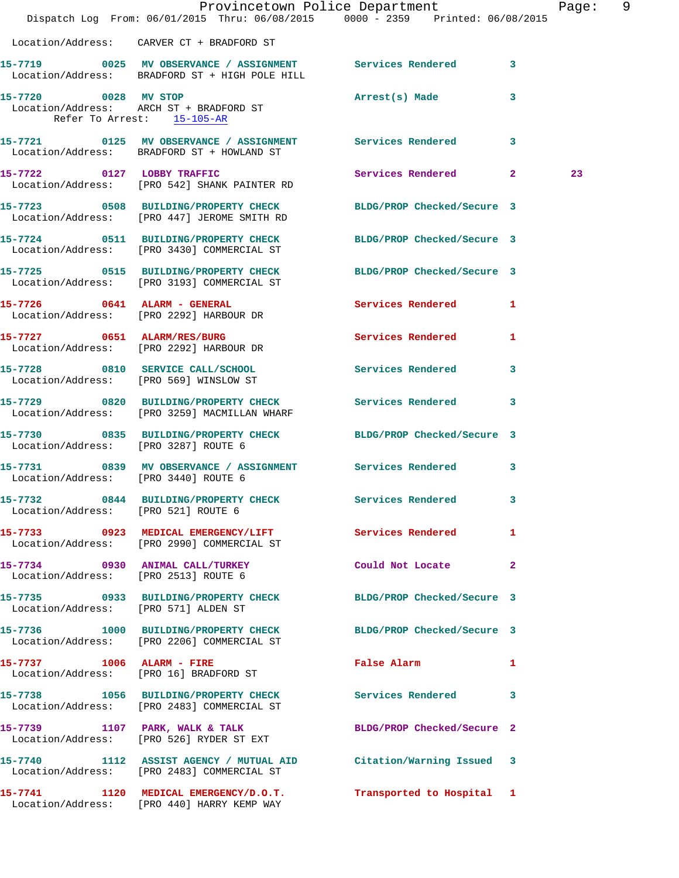|                                      | Dispatch Log From: 06/01/2015 Thru: 06/08/2015 0000 - 2359 Printed: 06/08/2015                                  | Provincetown Police Department                              | Page: 9 |  |
|--------------------------------------|-----------------------------------------------------------------------------------------------------------------|-------------------------------------------------------------|---------|--|
|                                      | Location/Address: CARVER CT + BRADFORD ST                                                                       |                                                             |         |  |
|                                      |                                                                                                                 |                                                             |         |  |
|                                      | 15-7719 0025 MV OBSERVANCE / ASSIGNMENT Services Rendered 3<br>Location/Address: BRADFORD ST + HIGH POLE HILL   |                                                             |         |  |
| Refer To Arrest: 15-105-AR           | 15-7720 0028 MV STOP<br>Location/Address: ARCH ST + BRADFORD ST                                                 | Arrest(s) Made 3                                            |         |  |
|                                      | 15-7721 0125 MV OBSERVANCE / ASSIGNMENT Services Rendered 3<br>Location/Address: BRADFORD ST + HOWLAND ST       |                                                             |         |  |
|                                      | 15-7722 0127 LOBBY TRAFFIC<br>Location/Address: [PRO 542] SHANK PAINTER RD                                      | Services Rendered 2                                         | 23      |  |
|                                      | 15-7723 0508 BUILDING/PROPERTY CHECK BLDG/PROP Checked/Secure 3<br>Location/Address: [PRO 447] JEROME SMITH RD  |                                                             |         |  |
|                                      | 15-7724 0511 BUILDING/PROPERTY CHECK BLDG/PROP Checked/Secure 3<br>Location/Address: [PRO 3430] COMMERCIAL ST   |                                                             |         |  |
|                                      | 15-7725 0515 BUILDING/PROPERTY CHECK BLDG/PROP Checked/Secure 3<br>Location/Address: [PRO 3193] COMMERCIAL ST   |                                                             |         |  |
|                                      | 15-7726 0641 ALARM - GENERAL<br>Location/Address: [PRO 2292] HARBOUR DR                                         | Services Rendered 1                                         |         |  |
|                                      | 15-7727 0651 ALARM/RES/BURG<br>Location/Address: [PRO 2292] HARBOUR DR                                          | Services Rendered 1                                         |         |  |
|                                      | 15-7728 0810 SERVICE CALL/SCHOOL 5 Services Rendered 3<br>Location/Address: [PRO 569] WINSLOW ST                |                                                             |         |  |
|                                      | 15-7729 0820 BUILDING/PROPERTY CHECK Services Rendered 3<br>Location/Address: [PRO 3259] MACMILLAN WHARF        |                                                             |         |  |
|                                      | 15-7730 0835 BUILDING/PROPERTY CHECK BLDG/PROP Checked/Secure 3<br>Location/Address: [PRO 3287] ROUTE 6         |                                                             |         |  |
| Location/Address: [PRO 3440] ROUTE 6 | 15-7731 0839 MV OBSERVANCE / ASSIGNMENT Services Rendered 3                                                     |                                                             |         |  |
| Location/Address: [PRO 521] ROUTE 6  | 15-7732 0844 BUILDING/PROPERTY CHECK Services Rendered                                                          |                                                             |         |  |
|                                      | 15-7733 0923 MEDICAL EMERGENCY/LIFT Services Rendered<br>Location/Address: [PRO 2990] COMMERCIAL ST             | $\mathbf{1}$                                                |         |  |
|                                      | 15-7734 0930 ANIMAL CALL/TURKEY<br>Location/Address: [PRO 2513] ROUTE 6                                         | Could Not Locate 2                                          |         |  |
| Location/Address: [PRO 571] ALDEN ST | 15-7735 0933 BUILDING/PROPERTY CHECK BLDG/PROP Checked/Secure 3                                                 |                                                             |         |  |
|                                      | 15-7736 1000 BUILDING/PROPERTY CHECK BLDG/PROP Checked/Secure 3<br>Location/Address: [PRO 2206] COMMERCIAL ST   |                                                             |         |  |
|                                      | 15-7737 1006 ALARM - FIRE<br>Location/Address: [PRO 16] BRADFORD ST                                             | False Alarm <b>Exercise Service Service</b><br>$\mathbf{1}$ |         |  |
|                                      | 15-7738 1056 BUILDING/PROPERTY CHECK Services Rendered 3<br>Location/Address: [PRO 2483] COMMERCIAL ST          |                                                             |         |  |
|                                      | 15-7739 1107 PARK, WALK & TALK<br>Location/Address: [PRO 526] RYDER ST EXT                                      | BLDG/PROP Checked/Secure 2                                  |         |  |
|                                      | 15-7740 1112 ASSIST AGENCY / MUTUAL AID Citation/Warning Issued 3<br>Location/Address: [PRO 2483] COMMERCIAL ST |                                                             |         |  |
|                                      | 15-7741 1120 MEDICAL EMERGENCY/D.O.T. Transported to Hospital 1 Location/Address: [PRO 440] HARRY KEMP WAY      |                                                             |         |  |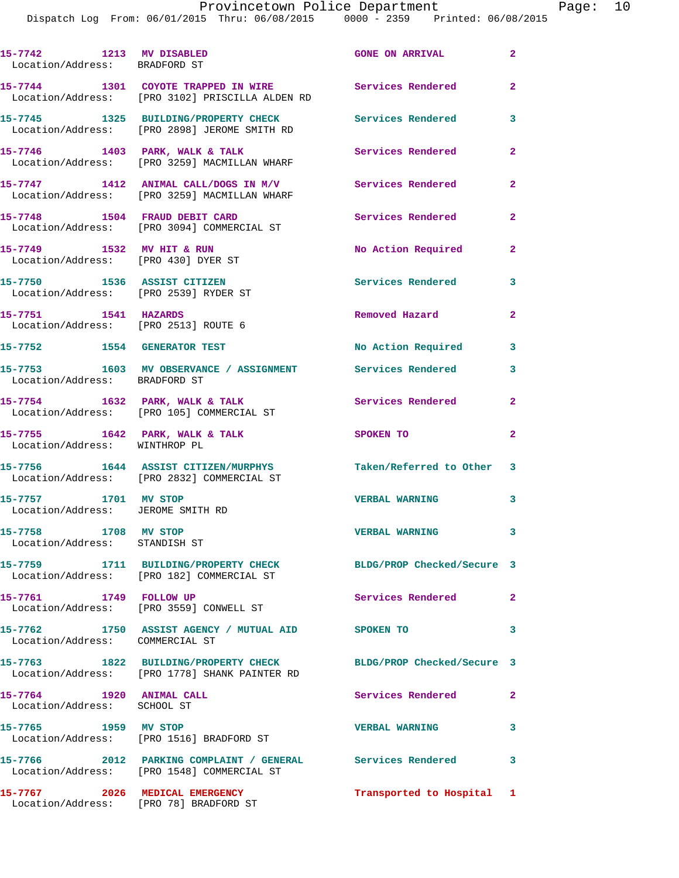| 15-7742 1213 MV DISABLED<br>Location/Address: BRADFORD ST            |                                                                                                                  | <b>GONE ON ARRIVAL</b>     | $\mathbf{2}$            |
|----------------------------------------------------------------------|------------------------------------------------------------------------------------------------------------------|----------------------------|-------------------------|
|                                                                      | 15-7744 1301 COYOTE TRAPPED IN WIRE<br>Location/Address: [PRO 3102] PRISCILLA ALDEN RD                           | <b>Services Rendered</b>   | $\mathbf{2}$            |
|                                                                      | 15-7745 1325 BUILDING/PROPERTY CHECK<br>Location/Address: [PRO 2898] JEROME SMITH RD                             | <b>Services Rendered</b>   | $\overline{\mathbf{3}}$ |
|                                                                      | 15-7746 1403 PARK, WALK & TALK<br>Location/Address: [PRO 3259] MACMILLAN WHARF                                   | <b>Services Rendered</b>   | $\mathbf{2}$            |
|                                                                      | 15-7747 1412 ANIMAL CALL/DOGS IN M/V<br>Location/Address: [PRO 3259] MACMILLAN WHARF                             | Services Rendered          | $\mathbf{2}$            |
|                                                                      | 15-7748 1504 FRAUD DEBIT CARD<br>Location/Address: [PRO 3094] COMMERCIAL ST                                      | <b>Services Rendered</b>   | $\mathbf{2}$            |
| 15-7749 1532 MV HIT & RUN<br>Location/Address: [PRO 430] DYER ST     |                                                                                                                  | No Action Required         | $\mathbf{2}$            |
| 15-7750 1536 ASSIST CITIZEN<br>Location/Address: [PRO 2539] RYDER ST |                                                                                                                  | Services Rendered          | 3                       |
| 15-7751 1541 HAZARDS<br>Location/Address: [PRO 2513] ROUTE 6         |                                                                                                                  | Removed Hazard             | $\mathbf{2}$            |
| 15-7752 1554 GENERATOR TEST                                          |                                                                                                                  | No Action Required         | 3                       |
| Location/Address: BRADFORD ST                                        | 15-7753 1603 MV OBSERVANCE / ASSIGNMENT Services Rendered                                                        |                            | 3                       |
|                                                                      | 15-7754 1632 PARK, WALK & TALK<br>Location/Address: [PRO 105] COMMERCIAL ST                                      | Services Rendered          | $\mathbf{2}$            |
| Location/Address: WINTHROP PL                                        | 15-7755 1642 PARK, WALK & TALK                                                                                   | SPOKEN TO                  | $\overline{2}$          |
|                                                                      | 15-7756 1644 ASSIST CITIZEN/MURPHYS<br>Location/Address: [PRO 2832] COMMERCIAL ST                                | Taken/Referred to Other 3  |                         |
| 15-7757 1701 MV STOP<br>Location/Address: JEROME SMITH RD            |                                                                                                                  | <b>VERBAL WARNING</b>      | 3                       |
| 15-7758 1708 MV STOP<br>Location/Address: STANDISH ST                |                                                                                                                  | <b>VERBAL WARNING</b>      | 3                       |
|                                                                      | 15-7759 1711 BUILDING/PROPERTY CHECK<br>Location/Address: [PRO 182] COMMERCIAL ST                                | BLDG/PROP Checked/Secure 3 |                         |
| 15-7761 1749 FOLLOW UP                                               | Location/Address: [PRO 3559] CONWELL ST                                                                          | Services Rendered 2        |                         |
| Location/Address: COMMERCIAL ST                                      | 15-7762 1750 ASSIST AGENCY / MUTUAL AID SPOKEN TO                                                                |                            | 3                       |
|                                                                      | 15-7763 1822 BUILDING/PROPERTY CHECK BLDG/PROP Checked/Secure 3<br>Location/Address: [PRO 1778] SHANK PAINTER RD |                            |                         |
| 15-7764 1920 ANIMAL CALL<br>Location/Address: SCHOOL ST              |                                                                                                                  | Services Rendered          | $\mathbf{2}$            |
| 15-7765 1959 MV STOP                                                 | Location/Address: [PRO 1516] BRADFORD ST                                                                         | <b>VERBAL WARNING</b>      | 3                       |
|                                                                      | 15-7766 2012 PARKING COMPLAINT / GENERAL Services Rendered 3<br>Location/Address: [PRO 1548] COMMERCIAL ST       |                            |                         |
|                                                                      | 15-7767 2026 MEDICAL EMERGENCY<br>Location/Address: [PRO 78] BRADFORD ST                                         | Transported to Hospital 1  |                         |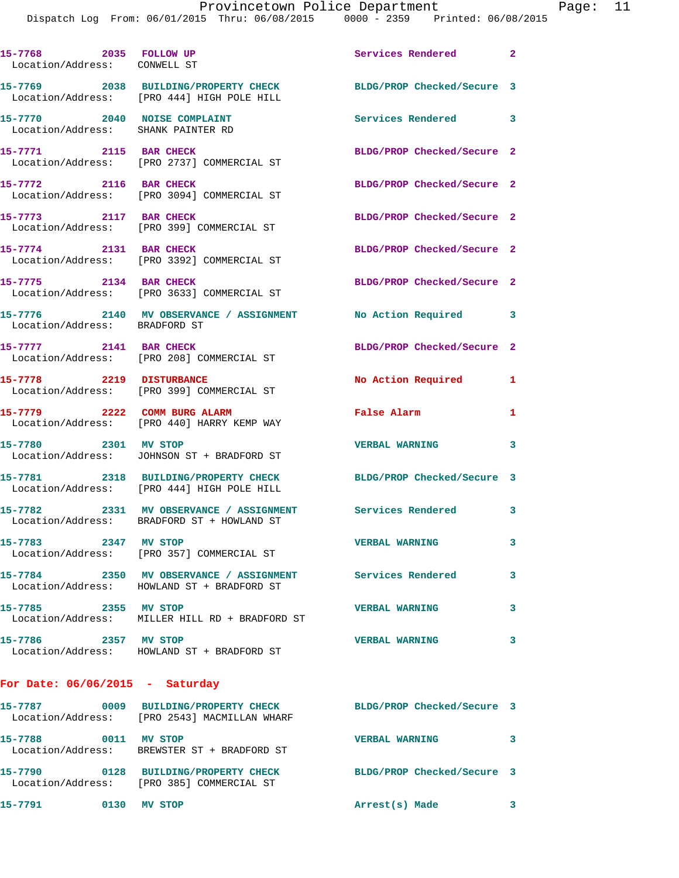| 15-7768 2035 FOLLOW UP<br>Location/Address: CONWELL ST             |                                                                                       | Services Rendered 2        |   |
|--------------------------------------------------------------------|---------------------------------------------------------------------------------------|----------------------------|---|
|                                                                    | 15-7769 2038 BUILDING/PROPERTY CHECK<br>Location/Address: [PRO 444] HIGH POLE HILL    | BLDG/PROP Checked/Secure 3 |   |
| 15-7770 2040 NOISE COMPLAINT<br>Location/Address: SHANK PAINTER RD |                                                                                       | Services Rendered 3        |   |
| 15-7771 2115 BAR CHECK                                             | Location/Address: [PRO 2737] COMMERCIAL ST                                            | BLDG/PROP Checked/Secure 2 |   |
| 15-7772 2116 BAR CHECK                                             | Location/Address: [PRO 3094] COMMERCIAL ST                                            | BLDG/PROP Checked/Secure 2 |   |
| 15-7773 2117 BAR CHECK                                             | Location/Address: [PRO 399] COMMERCIAL ST                                             | BLDG/PROP Checked/Secure 2 |   |
| 15-7774 2131 BAR CHECK                                             | Location/Address: [PRO 3392] COMMERCIAL ST                                            | BLDG/PROP Checked/Secure 2 |   |
| 15-7775 2134 BAR CHECK                                             | Location/Address: [PRO 3633] COMMERCIAL ST                                            | BLDG/PROP Checked/Secure 2 |   |
| Location/Address: BRADFORD ST                                      | 15-7776 2140 MV OBSERVANCE / ASSIGNMENT No Action Required 3                          |                            |   |
| 15-7777 2141 BAR CHECK                                             | Location/Address: [PRO 208] COMMERCIAL ST                                             | BLDG/PROP Checked/Secure 2 |   |
| 15-7778 2219 DISTURBANCE                                           | Location/Address: [PRO 399] COMMERCIAL ST                                             | No Action Required         | 1 |
|                                                                    | 15-7779 2222 COMM BURG ALARM<br>Location/Address: [PRO 440] HARRY KEMP WAY            | False Alarm                | 1 |
| 15-7780 2301 MV STOP                                               | Location/Address: JOHNSON ST + BRADFORD ST                                            | <b>VERBAL WARNING</b>      | 3 |
|                                                                    | 15-7781 2318 BUILDING/PROPERTY CHECK<br>Location/Address: [PRO 444] HIGH POLE HILL    | BLDG/PROP Checked/Secure 3 |   |
|                                                                    | 15-7782 2331 MV OBSERVANCE / ASSIGNMENT<br>Location/Address: BRADFORD ST + HOWLAND ST | Services Rendered 3        |   |
| 15-7783<br>Location/Address:                                       | 2347 MV STOP<br>[PRO 357] COMMERCIAL ST                                               | <b>VERBAL WARNING</b>      | 3 |
| 15-7784                                                            | 2350 MV OBSERVANCE / ASSIGNMENT<br>Location/Address: HOWLAND ST + BRADFORD ST         | Services Rendered          | 3 |
| 15-7785 2355 MV STOP                                               | Location/Address: MILLER HILL RD + BRADFORD ST                                        | <b>VERBAL WARNING</b>      | 3 |
| 15-7786                                                            | 2357 MV STOP<br>Location/Address: HOWLAND ST + BRADFORD ST                            | <b>VERBAL WARNING</b>      | 3 |
|                                                                    |                                                                                       |                            |   |

## **For Date: 06/06/2015 - Saturday**

| 15-7787<br>Location/Address: | 0009 | <b>BUILDING/PROPERTY CHECK</b><br>[PRO 2543] MACMILLAN WHARF | BLDG/PROP Checked/Secure 3 |  |
|------------------------------|------|--------------------------------------------------------------|----------------------------|--|
| 15-7788<br>Location/Address: | 0011 | MV STOP<br>BREWSTER ST + BRADFORD ST                         | <b>VERBAL WARNING</b>      |  |
| 15-7790<br>Location/Address: | 0128 | <b>BUILDING/PROPERTY CHECK</b><br>[PRO 385] COMMERCIAL ST    | BLDG/PROP Checked/Secure 3 |  |
| 15-7791                      | 0130 | <b>STOP</b><br><b>MV</b>                                     | Arrest(s) Made             |  |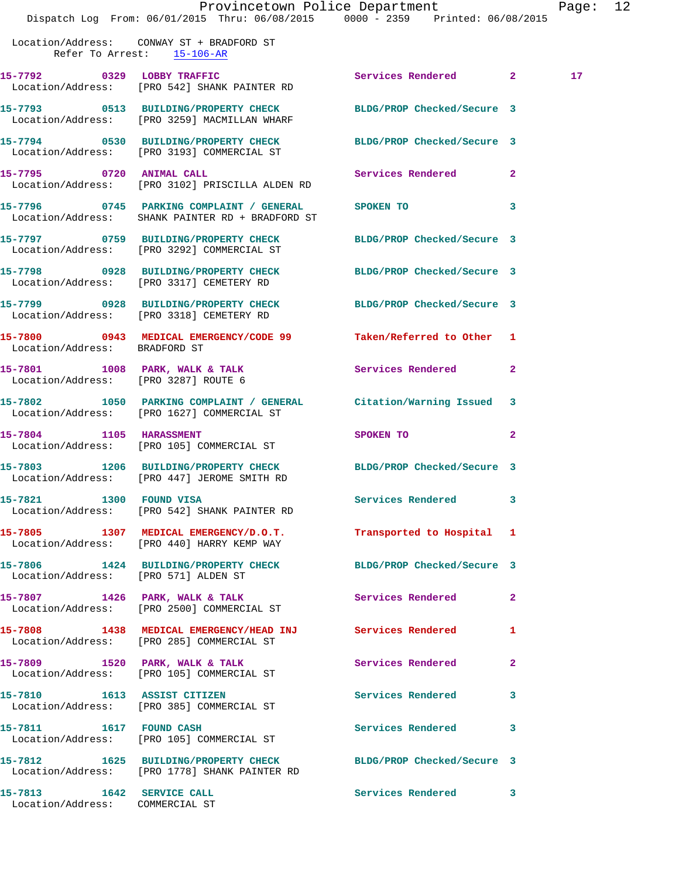|                                      |                                                                                                                             | Provincetown Police Department Page: 12 |              |                 |  |
|--------------------------------------|-----------------------------------------------------------------------------------------------------------------------------|-----------------------------------------|--------------|-----------------|--|
| Refer To Arrest: 15-106-AR           | Dispatch Log From: 06/01/2015 Thru: 06/08/2015 0000 - 2359 Printed: 06/08/2015<br>Location/Address: CONWAY ST + BRADFORD ST |                                         |              |                 |  |
|                                      | 15-7792 0329 LOBBY TRAFFIC<br>Location/Address: [PRO 542] SHANK PAINTER RD                                                  | Services Rendered 2                     |              | 17 <sup>2</sup> |  |
|                                      | 15-7793 0513 BUILDING/PROPERTY CHECK BLDG/PROP Checked/Secure 3<br>Location/Address: [PRO 3259] MACMILLAN WHARF             |                                         |              |                 |  |
|                                      | 15-7794 0530 BUILDING/PROPERTY CHECK BLDG/PROP Checked/Secure 3<br>Location/Address: [PRO 3193] COMMERCIAL ST               |                                         |              |                 |  |
|                                      | 15-7795 0720 ANIMAL CALL 2 Services Rendered 2<br>Location/Address: [PRO 3102] PRISCILLA ALDEN RD                           |                                         |              |                 |  |
|                                      | 15-7796 0745 PARKING COMPLAINT / GENERAL SPOKEN TO<br>Location/Address: SHANK PAINTER RD + BRADFORD ST                      |                                         | 3            |                 |  |
|                                      | 15-7797 0759 BUILDING/PROPERTY CHECK BLDG/PROP Checked/Secure 3<br>Location/Address: [PRO 3292] COMMERCIAL ST               |                                         |              |                 |  |
|                                      | 15-7798 0928 BUILDING/PROPERTY CHECK BLDG/PROP Checked/Secure 3<br>Location/Address: [PRO 3317] CEMETERY RD                 |                                         |              |                 |  |
|                                      | 15-7799 0928 BUILDING/PROPERTY CHECK BLDG/PROP Checked/Secure 3<br>Location/Address: [PRO 3318] CEMETERY RD                 |                                         |              |                 |  |
|                                      | 15-7800 0943 MEDICAL EMERGENCY/CODE 99 Taken/Referred to Other 1<br>Location/Address: BRADFORD ST                           |                                         |              |                 |  |
|                                      | 15-7801 1008 PARK, WALK & TALK 1988 2012 Services Rendered<br>Location/Address: [PRO 3287] ROUTE 6                          |                                         | $\mathbf{2}$ |                 |  |
|                                      | 15-7802 1050 PARKING COMPLAINT / GENERAL Citation/Warning Issued 3<br>Location/Address: [PRO 1627] COMMERCIAL ST            |                                         |              |                 |  |
|                                      | 15-7804 1105 HARASSMENT<br>Location/Address: [PRO 105] COMMERCIAL ST                                                        | <b>SPOKEN TO</b>                        | $\mathbf{2}$ |                 |  |
|                                      | 15-7803 1206 BUILDING/PROPERTY CHECK<br>Location/Address: [PRO 447] JEROME SMITH RD                                         | BLDG/PROP Checked/Secure 3              |              |                 |  |
| 15-7821 1300 FOUND VISA              | Location/Address: [PRO 542] SHANK PAINTER RD                                                                                | Services Rendered 3                     |              |                 |  |
|                                      | 15-7805 1307 MEDICAL EMERGENCY/D.O.T.<br>Location/Address: [PRO 440] HARRY KEMP WAY                                         | Transported to Hospital 1               |              |                 |  |
| Location/Address: [PRO 571] ALDEN ST | 15-7806 1424 BUILDING/PROPERTY CHECK                                                                                        | BLDG/PROP Checked/Secure 3              |              |                 |  |
|                                      | 15-7807 1426 PARK, WALK & TALK<br>Location/Address: [PRO 2500] COMMERCIAL ST                                                | Services Rendered                       | 2            |                 |  |
|                                      | 15-7808 1438 MEDICAL EMERGENCY/HEAD INJ<br>Location/Address: [PRO 285] COMMERCIAL ST                                        | <b>Services Rendered</b>                | 1            |                 |  |
| 15-7809                              | 1520 PARK, WALK & TALK                                                                                                      | Services Rendered                       | $\mathbf{2}$ |                 |  |

Location/Address: [PRO 105] COMMERCIAL ST

**15-7810 1613 ASSIST CITIZEN Services Rendered 3**  Location/Address: [PRO 385] COMMERCIAL ST

**15-7811 1617 FOUND CASH Services Rendered 3**  Location/Address: [PRO 105] COMMERCIAL ST

**15-7812 1625 BUILDING/PROPERTY CHECK BLDG/PROP Checked/Secure 3**  Location/Address: [PRO 1778] SHANK PAINTER RD

Location/Address: COMMERCIAL ST

**15-7813 1642 SERVICE CALL Services Rendered 3**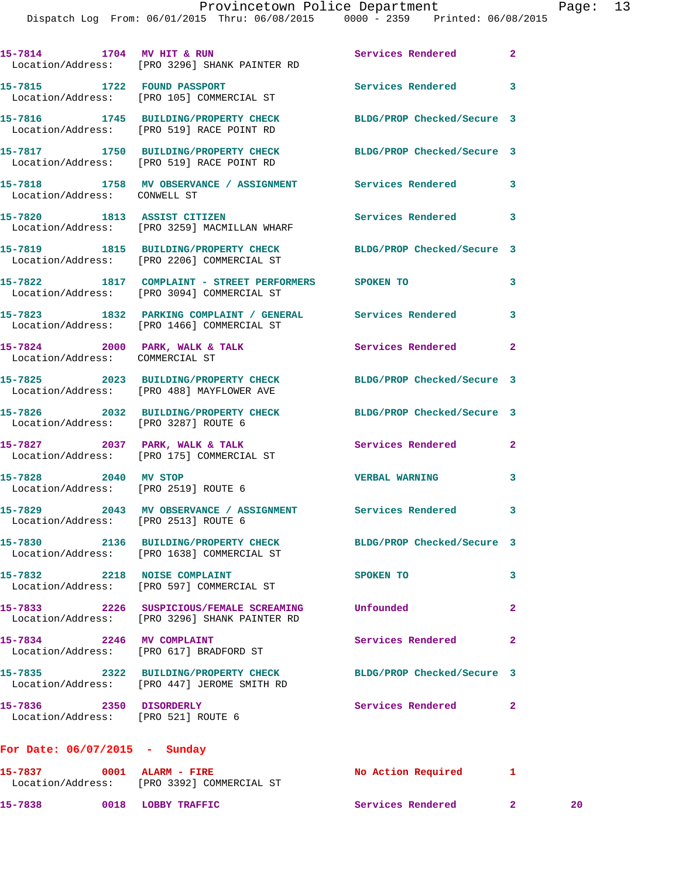|                                                                   | 15-7814 1704 MV HIT & RUN<br>Location/Address: [PRO 3296] SHANK PAINTER RD                               | Services Rendered          | $\overline{a}$ |
|-------------------------------------------------------------------|----------------------------------------------------------------------------------------------------------|----------------------------|----------------|
| 15-7815 1722 FOUND PASSPORT                                       | Location/Address: [PRO 105] COMMERCIAL ST                                                                | <b>Services Rendered</b>   | 3              |
|                                                                   | 15-7816 1745 BUILDING/PROPERTY CHECK<br>Location/Address: [PRO 519] RACE POINT RD                        | BLDG/PROP Checked/Secure 3 |                |
|                                                                   | 15-7817 1750 BUILDING/PROPERTY CHECK<br>Location/Address: [PRO 519] RACE POINT RD                        | BLDG/PROP Checked/Secure 3 |                |
| Location/Address: CONWELL ST                                      | 15-7818 1758 MV OBSERVANCE / ASSIGNMENT Services Rendered                                                |                            | 3              |
|                                                                   | 15-7820 1813 ASSIST CITIZEN<br>Location/Address: [PRO 3259] MACMILLAN WHARF                              | Services Rendered          | 3              |
|                                                                   | 15-7819 1815 BUILDING/PROPERTY CHECK<br>Location/Address: [PRO 2206] COMMERCIAL ST                       | BLDG/PROP Checked/Secure 3 |                |
|                                                                   | 15-7822 1817 COMPLAINT - STREET PERFORMERS SPOKEN TO<br>Location/Address: [PRO 3094] COMMERCIAL ST       |                            | 3              |
|                                                                   | 15-7823 1832 PARKING COMPLAINT / GENERAL Services Rendered<br>Location/Address: [PRO 1466] COMMERCIAL ST |                            | 3              |
| 15-7824 2000 PARK, WALK & TALK<br>Location/Address: COMMERCIAL ST |                                                                                                          | Services Rendered          | 2              |
|                                                                   | 15-7825 2023 BUILDING/PROPERTY CHECK<br>Location/Address: [PRO 488] MAYFLOWER AVE                        | BLDG/PROP Checked/Secure 3 |                |
| Location/Address: [PRO 3287] ROUTE 6                              | 15-7826 2032 BUILDING/PROPERTY CHECK                                                                     | BLDG/PROP Checked/Secure 3 |                |
|                                                                   | 15-7827 2037 PARK, WALK & TALK<br>Location/Address: [PRO 175] COMMERCIAL ST                              | Services Rendered          | 2              |
| 15-7828 2040 MV STOP                                              | Location/Address: [PRO 2519] ROUTE 6                                                                     | <b>VERBAL WARNING</b>      | 3              |
| Location/Address: [PRO 2513] ROUTE 6                              | 15-7829 2043 MV OBSERVANCE / ASSIGNMENT Services Rendered                                                |                            | 3              |
|                                                                   | 15-7830 2136 BUILDING/PROPERTY CHECK<br>Location/Address: [PRO 1638] COMMERCIAL ST                       | BLDG/PROP Checked/Secure 3 |                |
| 15-7832 2218 NOISE COMPLAINT                                      | Location/Address: [PRO 597] COMMERCIAL ST                                                                | SPOKEN TO                  | 3              |
|                                                                   | 15-7833 2226 SUSPICIOUS/FEMALE SCREAMING<br>Location/Address: [PRO 3296] SHANK PAINTER RD                | Unfounded                  | 2              |
|                                                                   | 15-7834 2246 MV COMPLAINT<br>Location/Address: [PRO 617] BRADFORD ST                                     | Services Rendered          | $\mathbf{2}$   |
|                                                                   | 15-7835 2322 BUILDING/PROPERTY CHECK<br>Location/Address: [PRO 447] JEROME SMITH RD                      | BLDG/PROP Checked/Secure 3 |                |
| 15-7836 2350 DISORDERLY<br>Location/Address: [PRO 521] ROUTE 6    |                                                                                                          | Services Rendered          | $\overline{a}$ |
| For Date: $06/07/2015$ - Sunday                                   |                                                                                                          |                            |                |
| 15-7837 0001 ALARM - FIRE                                         |                                                                                                          | No Action Required 1       |                |

**15-7837 0001 ALARM - FIRE No Action Required 1**  Location/Address: [PRO 3392] COMMERCIAL ST **15-7838 0018 LOBBY TRAFFIC Services Rendered 2 20**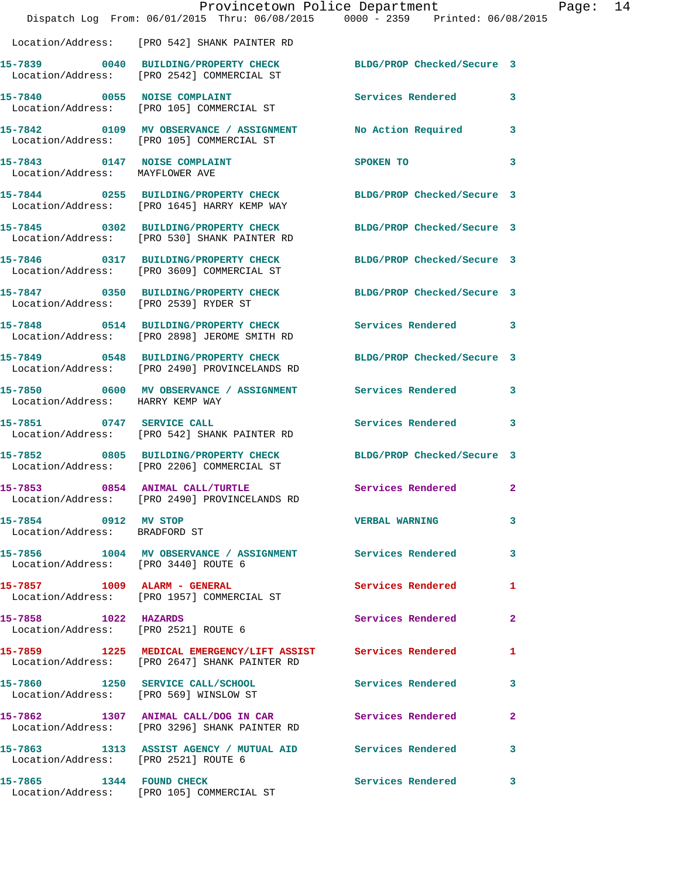|                                                                 | Dispatch Log From: 06/01/2015 Thru: 06/08/2015 0000 - 2359 Printed: 06/08/2015                                  | Provincetown Police Department |              | Page: 14 |  |
|-----------------------------------------------------------------|-----------------------------------------------------------------------------------------------------------------|--------------------------------|--------------|----------|--|
|                                                                 | Location/Address: [PRO 542] SHANK PAINTER RD                                                                    |                                |              |          |  |
|                                                                 | 15-7839 0040 BUILDING/PROPERTY CHECK BLDG/PROP Checked/Secure 3<br>Location/Address: [PRO 2542] COMMERCIAL ST   |                                |              |          |  |
|                                                                 | 15-7840 0055 NOISE COMPLAINT<br>Location/Address: [PRO 105] COMMERCIAL ST                                       | Services Rendered 3            |              |          |  |
|                                                                 | 15-7842 0109 MV OBSERVANCE / ASSIGNMENT No Action Required 3<br>Location/Address: [PRO 105] COMMERCIAL ST       |                                |              |          |  |
| 15-7843 0147 NOISE COMPLAINT<br>Location/Address: MAYFLOWER AVE |                                                                                                                 | SPOKEN TO                      | 3            |          |  |
|                                                                 | 15-7844 0255 BUILDING/PROPERTY CHECK BLDG/PROP Checked/Secure 3<br>Location/Address: [PRO 1645] HARRY KEMP WAY  |                                |              |          |  |
|                                                                 | 15-7845 0302 BUILDING/PROPERTY CHECK<br>Location/Address: [PRO 530] SHANK PAINTER RD                            | BLDG/PROP Checked/Secure 3     |              |          |  |
|                                                                 | 15-7846 0317 BUILDING/PROPERTY CHECK BLDG/PROP Checked/Secure 3<br>Location/Address: [PRO 3609] COMMERCIAL ST   |                                |              |          |  |
| Location/Address: [PRO 2539] RYDER ST                           | 15-7847 0350 BUILDING/PROPERTY CHECK BLDG/PROP Checked/Secure 3                                                 |                                |              |          |  |
|                                                                 | 15-7848 0514 BUILDING/PROPERTY CHECK Services Rendered 3<br>Location/Address: [PRO 2898] JEROME SMITH RD        |                                |              |          |  |
|                                                                 | 15-7849 0548 BUILDING/PROPERTY CHECK<br>Location/Address: [PRO 2490] PROVINCELANDS RD                           | BLDG/PROP Checked/Secure 3     |              |          |  |
| Location/Address: HARRY KEMP WAY                                | 15-7850 0600 MV OBSERVANCE / ASSIGNMENT Services Rendered 3                                                     |                                |              |          |  |
|                                                                 | 15-7851 0747 SERVICE CALL<br>Location/Address: [PRO 542] SHANK PAINTER RD                                       | Services Rendered 3            |              |          |  |
|                                                                 | 15-7852 0805 BUILDING/PROPERTY CHECK BLDG/PROP Checked/Secure 3<br>Location/Address: [PRO 2206] COMMERCIAL ST   |                                |              |          |  |
|                                                                 | 15-7853 0854 ANIMAL CALL/TURTLE<br>Location/Address: [PRO 2490] PROVINCELANDS RD                                | Services Rendered 2            |              |          |  |
| 15-7854 0912 MV STOP<br>Location/Address: BRADFORD ST           |                                                                                                                 | <b>VERBAL WARNING</b>          | $\mathbf{3}$ |          |  |
| Location/Address: [PRO 3440] ROUTE 6                            | 15-7856 1004 MV OBSERVANCE / ASSIGNMENT Services Rendered 3                                                     |                                |              |          |  |
|                                                                 | 15-7857 1009 ALARM - GENERAL<br>Location/Address: [PRO 1957] COMMERCIAL ST                                      | Services Rendered 1            |              |          |  |
| 15-7858 1022 HAZARDS<br>Location/Address: [PRO 2521] ROUTE 6    |                                                                                                                 | Services Rendered 2            |              |          |  |
|                                                                 | 15-7859 1225 MEDICAL EMERGENCY/LIFT ASSIST Services Rendered 1<br>Location/Address: [PRO 2647] SHANK PAINTER RD |                                |              |          |  |
|                                                                 | 15-7860 1250 SERVICE CALL/SCHOOL 5 Services Rendered 3<br>Location/Address: [PRO 569] WINSLOW ST                |                                |              |          |  |
|                                                                 | 15-7862 1307 ANIMAL CALL/DOG IN CAR Services Rendered 2<br>Location/Address: [PRO 3296] SHANK PAINTER RD        |                                |              |          |  |
| Location/Address: [PRO 2521] ROUTE 6                            | 15-7863 1313 ASSIST AGENCY / MUTUAL AID Services Rendered 3                                                     |                                |              |          |  |
| 15-7865 1344 FOUND CHECK                                        | Location/Address: [PRO 105] COMMERCIAL ST                                                                       | Services Rendered 3            |              |          |  |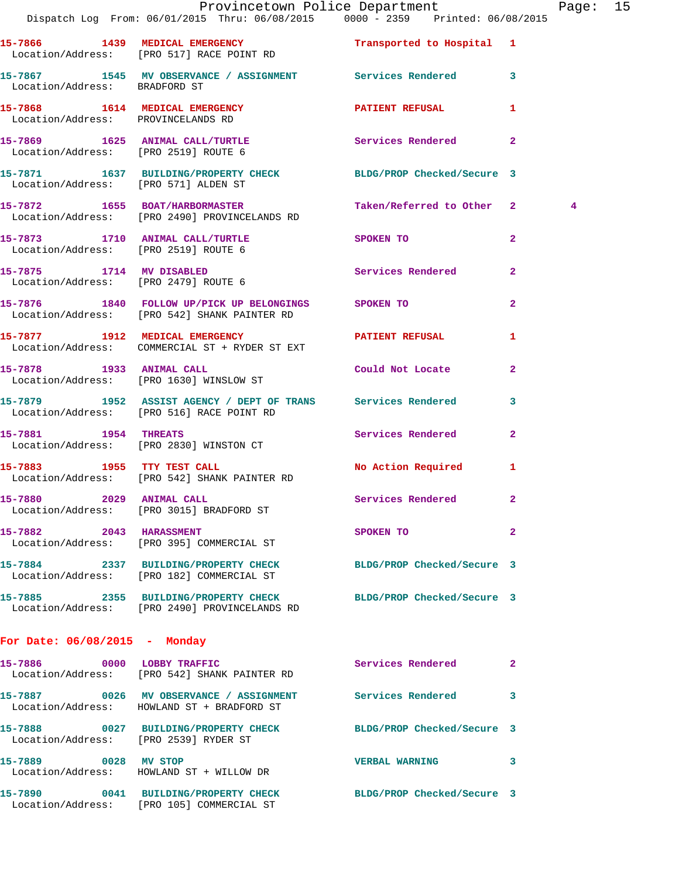|                                       | Provincetown Police Department The Rage: 15<br>Dispatch Log From: 06/01/2015 Thru: 06/08/2015 0000 - 2359 Printed: 06/08/2015 |                            |                |   |  |
|---------------------------------------|-------------------------------------------------------------------------------------------------------------------------------|----------------------------|----------------|---|--|
|                                       | 15-7866 1439 MEDICAL EMERGENCY 1 Transported to Hospital 1<br>Location/Address: [PRO 517] RACE POINT RD                       |                            |                |   |  |
| Location/Address: BRADFORD ST         | 15-7867 1545 MV OBSERVANCE / ASSIGNMENT Services Rendered 3                                                                   |                            |                |   |  |
| Location/Address: PROVINCELANDS RD    | 15-7868 1614 MEDICAL EMERGENCY 1 PATIENT REFUSAL 1                                                                            |                            |                |   |  |
| Location/Address: [PRO 2519] ROUTE 6  | 15-7869 1625 ANIMAL CALL/TURTLE Services Rendered                                                                             |                            | $\mathbf{2}$   |   |  |
| Location/Address: [PRO 571] ALDEN ST  | 15-7871 1637 BUILDING/PROPERTY CHECK BLDG/PROP Checked/Secure 3                                                               |                            |                |   |  |
|                                       | 15-7872 1655 BOAT/HARBORMASTER Taken/Referred to Other 2<br>Location/Address: [PRO 2490] PROVINCELANDS RD                     |                            |                | 4 |  |
|                                       | 15-7873 1710 ANIMAL CALL/TURTLE SPOKEN TO<br>Location/Address: [PRO 2519] ROUTE 6                                             |                            | $\mathbf{2}$   |   |  |
| Location/Address: [PRO 2479] ROUTE 6  | 15-7875 1714 MV DISABLED                                                                                                      | Services Rendered          | $\mathbf{2}$   |   |  |
|                                       | 15-7876 1840 FOLLOW UP/PICK UP BELONGINGS SPOKEN TO<br>Location/Address: [PRO 542] SHANK PAINTER RD                           |                            | $\overline{2}$ |   |  |
|                                       | 15-7877 1912 MEDICAL EMERGENCY PATIENT REFUSAL<br>Location/Address: COMMERCIAL ST + RYDER ST EXT                              |                            | 1              |   |  |
|                                       | 15-7878 1933 ANIMAL CALL 2001 Could Not Locate<br>Location/Address: [PRO 1630] WINSLOW ST                                     |                            | $\overline{2}$ |   |  |
|                                       | 15-7879 1952 ASSIST AGENCY / DEPT OF TRANS Services Rendered<br>Location/Address: [PRO 516] RACE POINT RD                     |                            | 3              |   |  |
| 15-7881 1954 THREATS                  | Location/Address: [PRO 2830] WINSTON CT                                                                                       | Services Rendered          | $\mathbf{2}$   |   |  |
|                                       | 15-7883 1955 TTY TEST CALL<br>Location/Address: [PRO 542] SHANK PAINTER RD                                                    | No Action Required 1       |                |   |  |
|                                       | 15-7880 2029 ANIMAL CALL 2008 Services Rendered<br>Location/Address: [PRO 3015] BRADFORD ST                                   |                            |                |   |  |
|                                       | 15-7882 2043 HARASSMENT<br>Location/Address: [PRO 395] COMMERCIAL ST                                                          | SPOKEN TO                  | $\mathbf{2}$   |   |  |
|                                       | 15-7884 2337 BUILDING/PROPERTY CHECK<br>Location/Address: [PRO 182] COMMERCIAL ST                                             | BLDG/PROP Checked/Secure 3 |                |   |  |
|                                       | 15-7885 2355 BUILDING/PROPERTY CHECK BLDG/PROP Checked/Secure 3<br>Location/Address: [PRO 2490] PROVINCELANDS RD              |                            |                |   |  |
| For Date: $06/08/2015$ - Monday       |                                                                                                                               |                            |                |   |  |
|                                       | 15-7886 0000 LOBBY TRAFFIC<br>Location/Address: [PRO 542] SHANK PAINTER RD                                                    | Services Rendered          | 2              |   |  |
|                                       | 15-7887 0026 MV OBSERVANCE / ASSIGNMENT Services Rendered 3<br>Location/Address: HOWLAND ST + BRADFORD ST                     |                            |                |   |  |
| Location/Address: [PRO 2539] RYDER ST | 15-7888 0027 BUILDING/PROPERTY CHECK BLDG/PROP Checked/Secure 3                                                               |                            |                |   |  |
| 15-7889 0028 MV STOP                  | Location/Address: HOWLAND ST + WILLOW DR                                                                                      | VERBAL WARNING 3           |                |   |  |
|                                       | 15-7890 0041 BUILDING/PROPERTY CHECK BLDG/PROP Checked/Secure 3<br>Location/Address: [PRO 105] COMMERCIAL ST                  |                            |                |   |  |